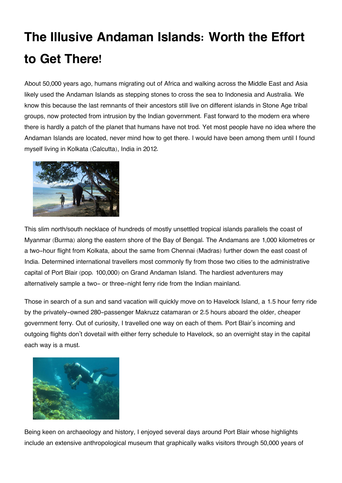## **The Illusive Andaman Islands: Worth the Effort to Get There!**

About 50,000 years ago, humans migrating out of Africa and walking across the Middle East and Asia likely used the Andaman Islands as stepping stones to cross the sea to Indonesia and Australia. We know this because the last remnants of their ancestors still live on different islands in Stone Age tribal groups, now protected from intrusion by the Indian government. Fast forward to the modern era where there is hardly a patch of the planet that humans have not trod. Yet most people have no idea where the Andaman Islands are located, never mind how to get there. I would have been among them until I found myself living in Kolkata (Calcutta), India in 2012.



This slim north/south necklace of hundreds of mostly unsettled tropical islands parallels the coast of Myanmar (Burma) along the eastern shore of the Bay of Bengal. The Andamans are 1,000 kilometres or a two-hour flight from Kolkata, about the same from Chennai (Madras) further down the east coast of India. Determined international travellers most commonly fly from those two cities to the administrative capital of Port Blair (pop. 100,000) on Grand Andaman Island. The hardiest adventurers may alternatively sample a two- or three-night ferry ride from the Indian mainland.

Those in search of a sun and sand vacation will quickly move on to Havelock Island, a 1.5 hour ferry ride by the privately-owned 280-passenger Makruzz catamaran or 2.5 hours aboard the older, cheaper government ferry. Out of curiosity, I travelled one way on each of them. Port Blair's incoming and outgoing flights don't dovetail with either ferry schedule to Havelock, so an overnight stay in the capital each way is a must.



Being keen on archaeology and history, I enjoyed several days around Port Blair whose highlights include an extensive anthropological museum that graphically walks visitors through 50,000 years of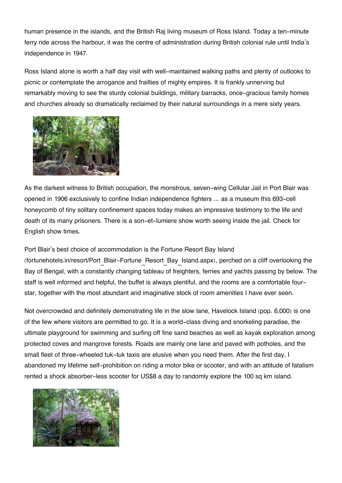human presence in the islands, and the British Raj living museum of Ross Island. Today a ten-minute ferry ride across the harbour, it was the centre of administration during British colonial rule until India's independence in 1947.

Ross Island alone is worth a half day visit with well-maintained walking paths and plenty of outlooks to picnic or contemplate the arrogance and frailties of mighty empires. It is frankly unnerving but remarkably moving to see the sturdy colonial buildings, military barracks, once-gracious family homes and churches already so dramatically reclaimed by their natural surroundings in a mere sixty years.



As the darkest witness to British occupation, the monstrous, seven-wing Cellular Jail in Port Blair was opened in 1906 exclusively to confine Indian independence fighters ... as a museum this 693-cell honeycomb of tiny solitary confinement spaces today makes an impressive testimony to the life and death of its many prisoners. There is a son-et-lumiere show worth seeing inside the jail. Check for English show times.

## Port Blair's best choice of accommodation is the Fortune Resort Bay Island

(fortunehotels.in/resort/Port\_Blair-Fortune\_Resort\_Bay\_Island.aspx), perched on a cliff overlooking the Bay of Bengal, with a constantly changing tableau of freighters, ferries and yachts passing by below. The staff is well informed and helpful, the buffet is always plentiful, and the rooms are a comfortable fourstar, together with the most abundant and imaginative stock of room amenities I have ever seen.

Not overcrowded and definitely demonstrating life in the slow lane, Havelock Island (pop. 6,000) is one of the few where visitors are permitted to go. It is a world-class diving and snorkeling paradise, the ultimate playground for swimming and surfing off fine sand beaches as well as kayak exploration among protected coves and mangrove forests. Roads are mainly one lane and paved with potholes, and the small fleet of three-wheeled tuk-tuk taxis are elusive when you need them. After the first day, I abandoned my lifetime self-prohibition on riding a motor bike or scooter, and with an attitude of fatalism rented a shock absorber-less scooter for US\$8 a day to randomly explore the 100 sq km island.